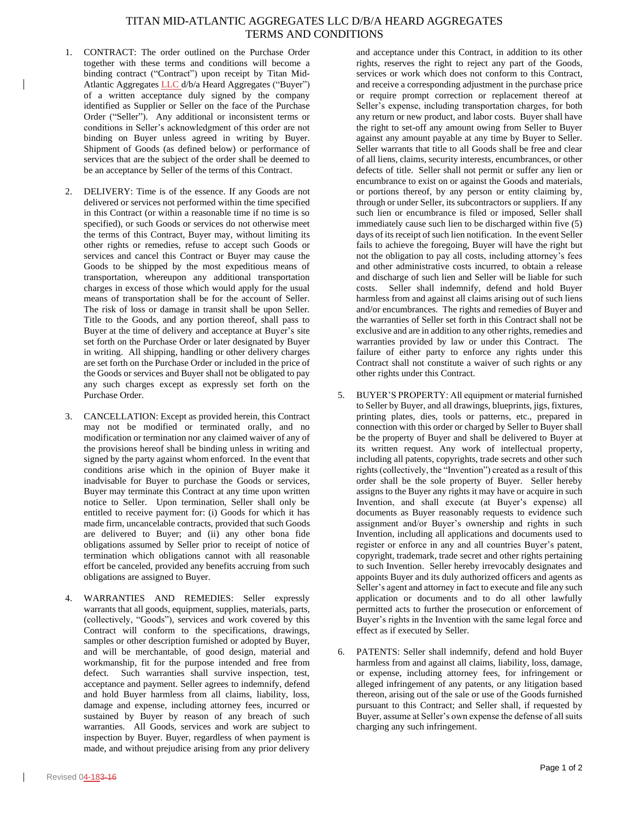## TITAN MID-ATLANTIC AGGREGATES LLC D/B/A HEARD AGGREGATES TERMS AND CONDITIONS

- 1. CONTRACT: The order outlined on the Purchase Order together with these terms and conditions will become a binding contract ("Contract") upon receipt by Titan Mid-Atlantic Aggregates LLC d/b/a Heard Aggregates ("Buyer") of a written acceptance duly signed by the company identified as Supplier or Seller on the face of the Purchase Order ("Seller"). Any additional or inconsistent terms or conditions in Seller's acknowledgment of this order are not binding on Buyer unless agreed in writing by Buyer. Shipment of Goods (as defined below) or performance of services that are the subject of the order shall be deemed to be an acceptance by Seller of the terms of this Contract.
- 2. DELIVERY: Time is of the essence. If any Goods are not delivered or services not performed within the time specified in this Contract (or within a reasonable time if no time is so specified), or such Goods or services do not otherwise meet the terms of this Contract, Buyer may, without limiting its other rights or remedies, refuse to accept such Goods or services and cancel this Contract or Buyer may cause the Goods to be shipped by the most expeditious means of transportation, whereupon any additional transportation charges in excess of those which would apply for the usual means of transportation shall be for the account of Seller. The risk of loss or damage in transit shall be upon Seller. Title to the Goods, and any portion thereof, shall pass to Buyer at the time of delivery and acceptance at Buyer's site set forth on the Purchase Order or later designated by Buyer in writing. All shipping, handling or other delivery charges are set forth on the Purchase Order or included in the price of the Goods or services and Buyer shall not be obligated to pay any such charges except as expressly set forth on the Purchase Order.
- 3. CANCELLATION: Except as provided herein, this Contract may not be modified or terminated orally, and no modification or termination nor any claimed waiver of any of the provisions hereof shall be binding unless in writing and signed by the party against whom enforced. In the event that conditions arise which in the opinion of Buyer make it inadvisable for Buyer to purchase the Goods or services, Buyer may terminate this Contract at any time upon written notice to Seller. Upon termination, Seller shall only be entitled to receive payment for: (i) Goods for which it has made firm, uncancelable contracts, provided that such Goods are delivered to Buyer; and (ii) any other bona fide obligations assumed by Seller prior to receipt of notice of termination which obligations cannot with all reasonable effort be canceled, provided any benefits accruing from such obligations are assigned to Buyer.
- 4. WARRANTIES AND REMEDIES: Seller expressly warrants that all goods, equipment, supplies, materials, parts, (collectively, "Goods"), services and work covered by this Contract will conform to the specifications, drawings, samples or other description furnished or adopted by Buyer, and will be merchantable, of good design, material and workmanship, fit for the purpose intended and free from defect. Such warranties shall survive inspection, test, acceptance and payment. Seller agrees to indemnify, defend and hold Buyer harmless from all claims, liability, loss, damage and expense, including attorney fees, incurred or sustained by Buyer by reason of any breach of such warranties. All Goods, services and work are subject to inspection by Buyer. Buyer, regardless of when payment is made, and without prejudice arising from any prior delivery

and acceptance under this Contract, in addition to its other rights, reserves the right to reject any part of the Goods, services or work which does not conform to this Contract, and receive a corresponding adjustment in the purchase price or require prompt correction or replacement thereof at Seller's expense, including transportation charges, for both any return or new product, and labor costs. Buyer shall have the right to set-off any amount owing from Seller to Buyer against any amount payable at any time by Buyer to Seller. Seller warrants that title to all Goods shall be free and clear of all liens, claims, security interests, encumbrances, or other defects of title. Seller shall not permit or suffer any lien or encumbrance to exist on or against the Goods and materials, or portions thereof, by any person or entity claiming by, through or under Seller, its subcontractors or suppliers. If any such lien or encumbrance is filed or imposed, Seller shall immediately cause such lien to be discharged within five (5) days of its receipt of such lien notification. In the event Seller fails to achieve the foregoing, Buyer will have the right but not the obligation to pay all costs, including attorney's fees and other administrative costs incurred, to obtain a release and discharge of such lien and Seller will be liable for such costs. Seller shall indemnify, defend and hold Buyer harmless from and against all claims arising out of such liens and/or encumbrances. The rights and remedies of Buyer and the warranties of Seller set forth in this Contract shall not be exclusive and are in addition to any other rights, remedies and warranties provided by law or under this Contract. The failure of either party to enforce any rights under this Contract shall not constitute a waiver of such rights or any other rights under this Contract.

- 5. BUYER'S PROPERTY: All equipment or material furnished to Seller by Buyer, and all drawings, blueprints, jigs, fixtures, printing plates, dies, tools or patterns, etc., prepared in connection with this order or charged by Seller to Buyer shall be the property of Buyer and shall be delivered to Buyer at its written request. Any work of intellectual property, including all patents, copyrights, trade secrets and other such rights (collectively, the "Invention") created as a result of this order shall be the sole property of Buyer. Seller hereby assigns to the Buyer any rights it may have or acquire in such Invention, and shall execute (at Buyer's expense) all documents as Buyer reasonably requests to evidence such assignment and/or Buyer's ownership and rights in such Invention, including all applications and documents used to register or enforce in any and all countries Buyer's patent, copyright, trademark, trade secret and other rights pertaining to such Invention. Seller hereby irrevocably designates and appoints Buyer and its duly authorized officers and agents as Seller's agent and attorney in fact to execute and file any such application or documents and to do all other lawfully permitted acts to further the prosecution or enforcement of Buyer's rights in the Invention with the same legal force and effect as if executed by Seller.
- PATENTS: Seller shall indemnify, defend and hold Buyer harmless from and against all claims, liability, loss, damage, or expense, including attorney fees, for infringement or alleged infringement of any patents, or any litigation based thereon, arising out of the sale or use of the Goods furnished pursuant to this Contract; and Seller shall, if requested by Buyer, assume at Seller's own expense the defense of all suits charging any such infringement.